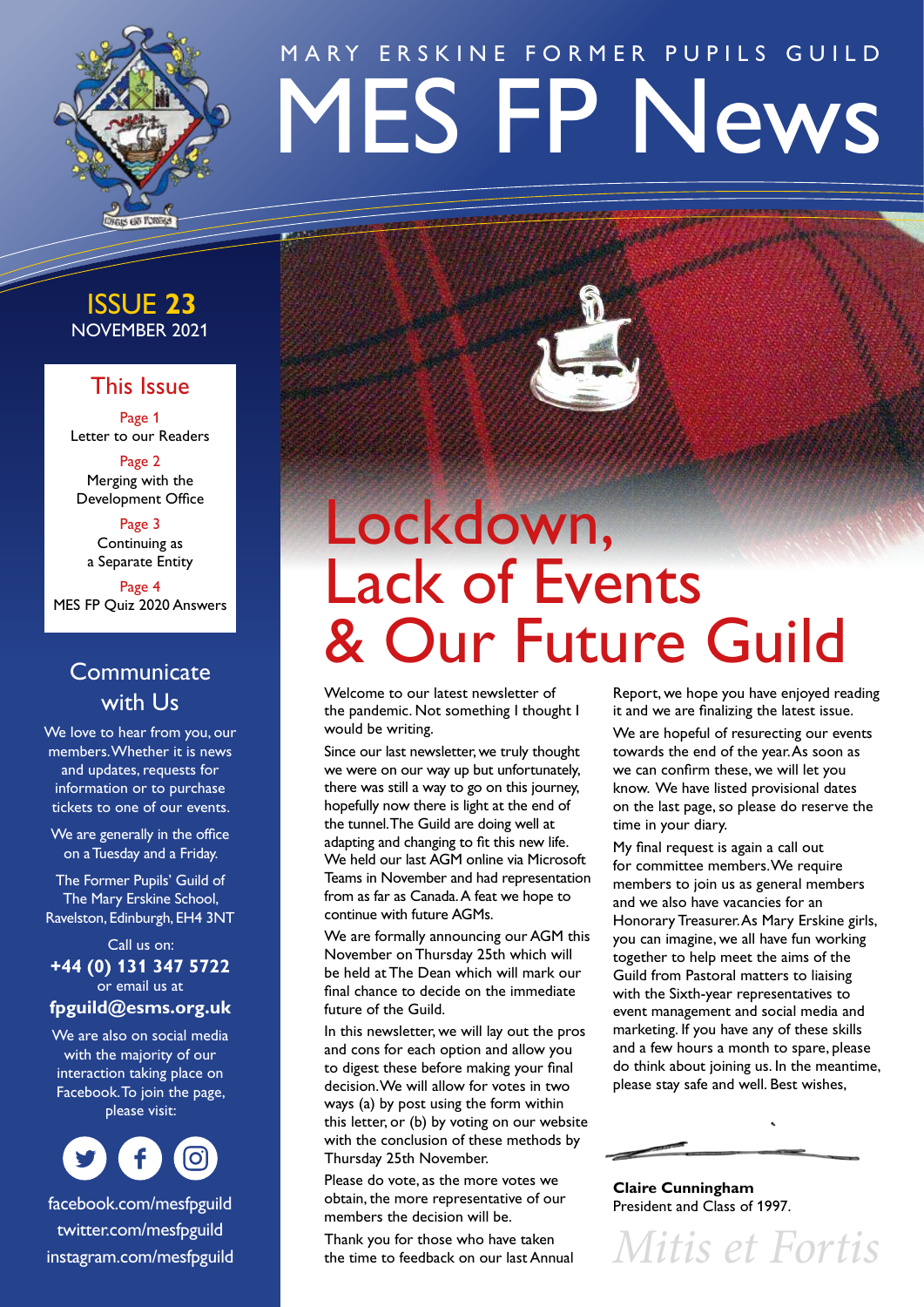

# MES FP News MARY ERSKINE FORMER PUPILS GUILD

# NOVEMBER 2021 ISSUE **23**

# This Issue

Page 1 Letter to our Readers

Page 2 Merging with the Development Office

Page 3 Continuing as a Separate Entity

Page 4 MES FP Quiz 2020 Answers

# **Communicate** with Us

We love to hear from you, our members. Whether it is news and updates, requests for information or to purchase tickets to one of our events.

We are generally in the office on a Tuesday and a Friday.

The Former Pupils' Guild of The Mary Erskine School, Ravelston, Edinburgh, EH4 3NT

Call us on: **+44 (0) 131 347 5722** or email us at

# **[fpguild@esms.org.uk](mailto:fpguild@esms.org.uk)**

We are also on social media with the majority of our interaction taking place on Facebook. To join the page, please visit:



[facebook.com/mesfpguild](http://facebook.com/mesfpguild) [twitter.com/mesfpguild](http://twitter.com/mesfpguild) [instagram.com/mesfpguild](http://instagram.com/mesfpguild)



# Lockdown, Lack of Events & Our Future Guild

Welcome to our latest newsletter of the pandemic. Not something I thought I would be writing.

Since our last newsletter, we truly thought we were on our way up but unfortunately, there was still a way to go on this journey, hopefully now there is light at the end of the tunnel. The Guild are doing well at adapting and changing to fit this new life. We held our last AGM online via Microsoft Teams in November and had representation from as far as Canada. A feat we hope to continue with future AGMs.

We are formally announcing our AGM this November on Thursday 25th which will be held at The Dean which will mark our final chance to decide on the immediate future of the Guild.

In this newsletter, we will lay out the pros and cons for each option and allow you to digest these before making your final decision. We will allow for votes in two ways (a) by post using the form within this letter, or (b) by voting on our website with the conclusion of these methods by Thursday 25th November.

Please do vote, as the more votes we obtain, the more representative of our members the decision will be.

Thank you for those who have taken the time to feedback on our last Annual Report, we hope you have enjoyed reading it and we are finalizing the latest issue.

We are hopeful of resurecting our events towards the end of the year. As soon as we can confirm these, we will let you know. We have listed provisional dates on the last page, so please do reserve the time in your diary.

My final request is again a call out for committee members. We require members to join us as general members and we also have vacancies for an Honorary Treasurer. As Mary Erskine girls, you can imagine, we all have fun working together to help meet the aims of the Guild from Pastoral matters to liaising with the Sixth-year representatives to event management and social media and marketing. If you have any of these skills and a few hours a month to spare, please do think about joining us. In the meantime, please stay safe and well. Best wishes,



**Claire Cunningham** President and Class of 1997.

*Mitis et Fortis*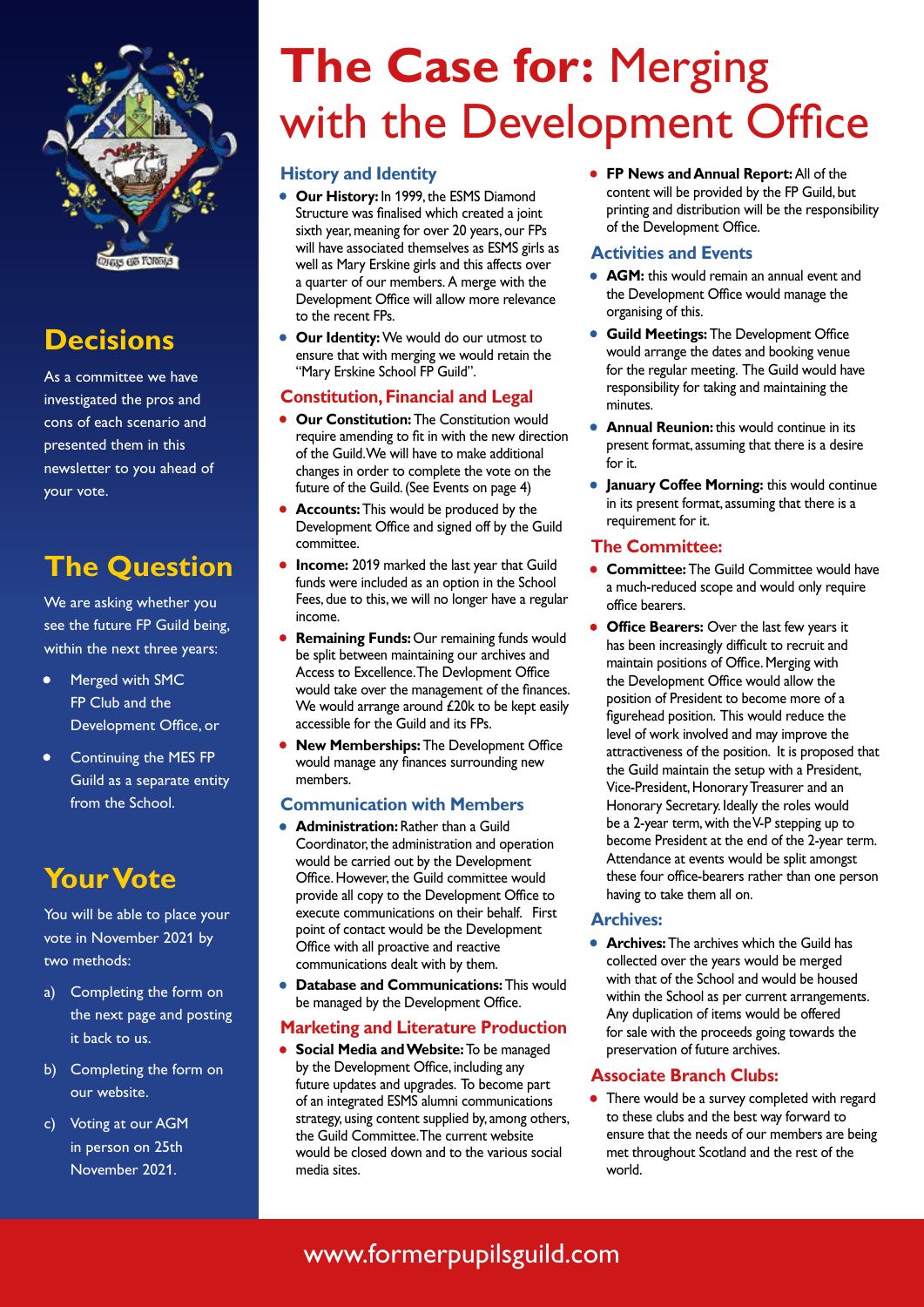

# **Decisions**

As a committee we have investigated the pros and cons of each scenario and presented them in this newsletter to you ahead of your vote.

# **The Question**

We are asking whether you see the future FP Guild being, within the next three years:

- Merged with SMC FP Club and the Development Office, or
- Continuing the MES FP Guild as a separate entity from the School.

# **Your Vote**

You will be able to place your vote in November 2021 by two methods:

- a) Completing the form on the next page and posting it back to us.
- b) Completing the form on our website.
- c) Voting at our AGM in person on 25th November 2021.

# **The Case for:** Merging with the Development Office

## **History and Identity**

- **Our History:** In 1999, the ESMS Diamond Structure was finalised which created a joint sixth year, meaning for over 20 years, our FPs will have associated themselves as ESMS girls as well as Mary Erskine girls and this affects over a quarter of our members. A merge with the Development Office will allow more relevance to the recent FPs.
- **Our Identity:** We would do our utmost to ensure that with merging we would retain the "Mary Erskine School FP Guild".

# **Constitution, Financial and Legal**

- **Our Constitution:** The Constitution would require amending to fit in with the new direction of the Guild. We will have to make additional changes in order to complete the vote on the future of the Guild. (See Events on page 4)
- **Accounts:** This would be produced by the Development Office and signed off by the Guild committee.
- **Income:** 2019 marked the last year that Guild funds were included as an option in the School Fees, due to this, we will no longer have a regular income.
- **Remaining Funds: Our remaining funds would** be split between maintaining our archives and Access to Excellence. The Devlopment Office would take over the management of the finances. We would arrange around £20k to be kept easily accessible for the Guild and its FPs.
- **New Memberships:** The Development Office would manage any finances surrounding new members.

## **Communication with Members**

- **Administration:** Rather than a Guild Coordinator, the administration and operation would be carried out by the Development Office. However, the Guild committee would provide all copy to the Development Office to execute communications on their behalf. First point of contact would be the Development Office with all proactive and reactive communications dealt with by them.
- **Database and Communications:** This would be managed by the Development Office.

#### **Marketing and Literature Production**

• **Social Media and Website:** To be managed by the Development Office, including any future updates and upgrades. To become part of an integrated ESMS alumni communications strategy, using content supplied by, among others, the Guild Committee. The current website would be closed down and to the various social media sites.

• **FP News and Annual Report:** All of the content will be provided by the FP Guild, but printing and distribution will be the responsibility of the Development Office.

### **Activities and Events**

- **AGM:** this would remain an annual event and the Development Office would manage the organising of this.
- **Guild Meetings:** The Development Office would arrange the dates and booking venue for the regular meeting. The Guild would have responsibility for taking and maintaining the minutes.
- **Annual Reunion:** this would continue in its present format, assuming that there is a desire for it.
- **January Coffee Morning:** this would continue in its present format, assuming that there is a requirement for it.

#### **The Committee:**

- **Committee:** The Guild Committee would have a much-reduced scope and would only require office bearers.
- **Office Bearers:** Over the last few years it has been increasingly difficult to recruit and maintain positions of Office. Merging with the Development Office would allow the position of President to become more of a figurehead position. This would reduce the level of work involved and may improve the attractiveness of the position. It is proposed that the Guild maintain the setup with a President, Vice-President, Honorary Treasurer and an Honorary Secretary. Ideally the roles would be a 2-year term, with the V-P stepping up to become President at the end of the 2-year term. Attendance at events would be split amongst these four office-bearers rather than one person having to take them all on.

#### **Archives:**

• **Archives:** The archives which the Guild has collected over the years would be merged with that of the School and would be housed within the School as per current arrangements. Any duplication of items would be offered for sale with the proceeds going towards the preservation of future archives.

## **Associate Branch Clubs:**

• There would be a survey completed with regard to these clubs and the best way forward to ensure that the needs of our members are being met throughout Scotland and the rest of the world.

# [www.formerpupilsguild.com](http://www.formerpupilsguild.com)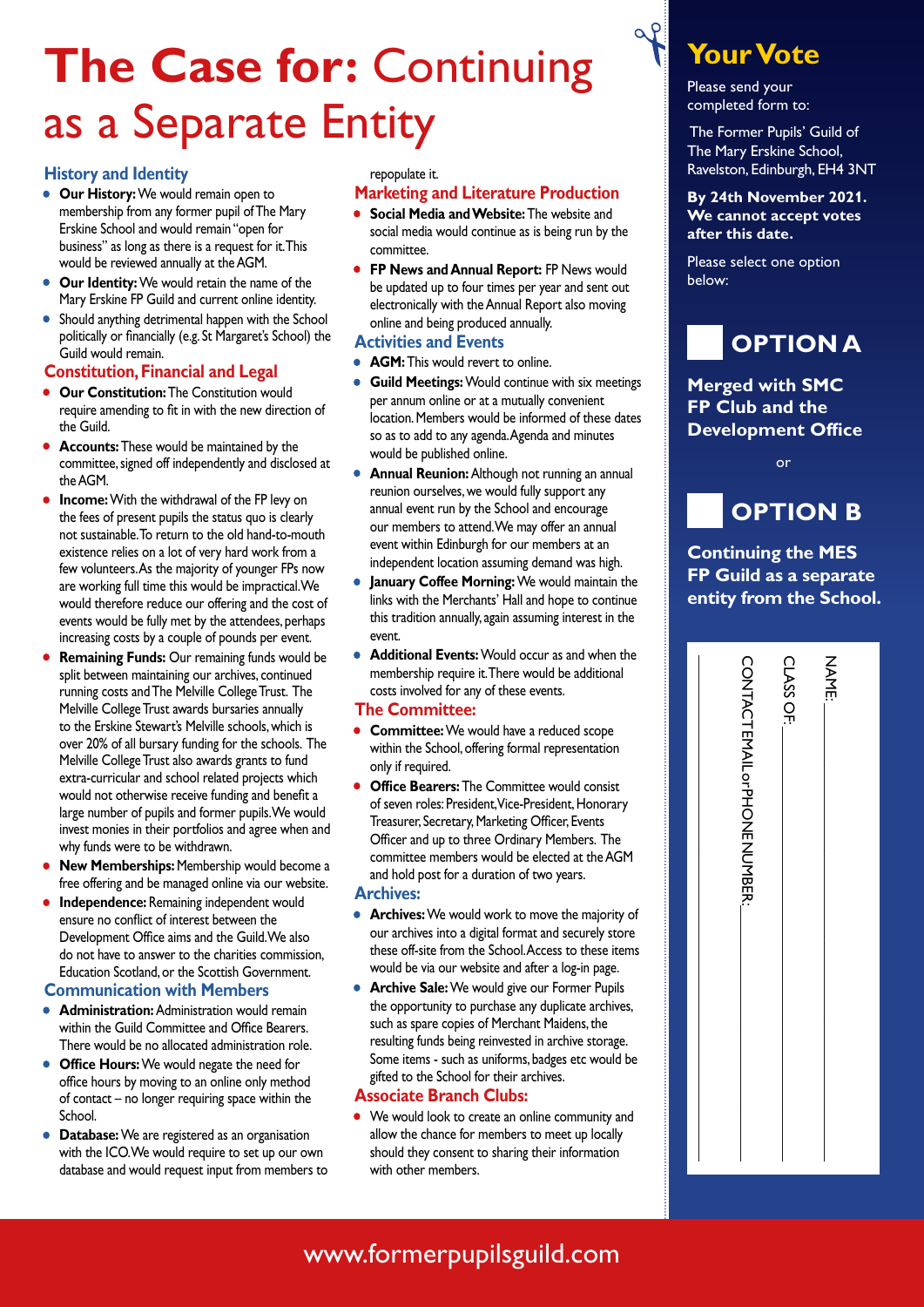# **The Case for:** Continuing as a Separate Entity

#### **History and Identity**

- **Our History:** We would remain open to membership from any former pupil of The Mary Erskine School and would remain "open for business" as long as there is a request for it. This would be reviewed annually at the AGM.
- **Our Identity:** We would retain the name of the Mary Erskine FP Guild and current online identity.
- Should anything detrimental happen with the School politically or financially (e.g. St Margaret's School) the Guild would remain.

#### **Constitution, Financial and Legal**

- **Our Constitution:** The Constitution would require amending to fit in with the new direction of the Guild.
- **Accounts:** These would be maintained by the committee, signed off independently and disclosed at the AGM.
- **Income:** With the withdrawal of the FP levy on the fees of present pupils the status quo is clearly not sustainable. To return to the old hand-to-mouth existence relies on a lot of very hard work from a few volunteers. As the majority of younger FPs now are working full time this would be impractical. We would therefore reduce our offering and the cost of events would be fully met by the attendees, perhaps increasing costs by a couple of pounds per event.
- **Remaining Funds:** Our remaining funds would be split between maintaining our archives, continued running costs and The Melville College Trust. The Melville College Trust awards bursaries annually to the Erskine Stewart's Melville schools, which is over 20% of all bursary funding for the schools. The Melville College Trust also awards grants to fund extra-curricular and school related projects which would not otherwise receive funding and benefit a large number of pupils and former pupils. We would invest monies in their portfolios and agree when and why funds were to be withdrawn.
- **New Memberships:** Membership would become a free offering and be managed online via our website.
- **Independence:** Remaining independent would ensure no conflict of interest between the Development Office aims and the Guild. We also do not have to answer to the charities commission, Education Scotland, or the Scottish Government.

#### **Communication with Members**

- **Administration:** Administration would remain within the Guild Committee and Office Bearers. There would be no allocated administration role.
- **Office Hours:** We would negate the need for office hours by moving to an online only method of contact – no longer requiring space within the School.
- **Database:** We are registered as an organisation with the ICO. We would require to set up our own database and would request input from members to

#### repopulate it.

#### **Marketing and Literature Production**

- **Social Media and Website:** The website and social media would continue as is being run by the committee.
- **FP News and Annual Report:** FP News would be updated up to four times per year and sent out electronically with the Annual Report also moving online and being produced annually.

#### **Activities and Events**

- **AGM:** This would revert to online.
- **Guild Meetings:** Would continue with six meetings per annum online or at a mutually convenient location. Members would be informed of these dates so as to add to any agenda. Agenda and minutes would be published online.
- **Annual Reunion:** Although not running an annual reunion ourselves, we would fully support any annual event run by the School and encourage our members to attend. We may offer an annual event within Edinburgh for our members at an independent location assuming demand was high.
- **January Coffee Morning:** We would maintain the links with the Merchants' Hall and hope to continue this tradition annually, again assuming interest in the event.
- **Additional Events:** Would occur as and when the membership require it. There would be additional costs involved for any of these events.

#### **The Committee:**

- **Committee:** We would have a reduced scope within the School, offering formal representation only if required.
- **Office Bearers:** The Committee would consist of seven roles: President, Vice-President, Honorary Treasurer, Secretary, Marketing Officer, Events Officer and up to three Ordinary Members. The committee members would be elected at the AGM and hold post for a duration of two years.

#### **Archives:**

- **Archives:** We would work to move the majority of our archives into a digital format and securely store these off-site from the School. Access to these items would be via our website and after a log-in page.
- **Archive Sale:** We would give our Former Pupils the opportunity to purchase any duplicate archives, such as spare copies of Merchant Maidens, the resulting funds being reinvested in archive storage. Some items - such as uniforms, badges etc would be gifted to the School for their archives.

#### **Associate Branch Clubs:**

We would look to create an online community and allow the chance for members to meet up locally should they consent to sharing their information with other members.

# **Your Vote**

Please send your completed form to:

 $\alpha$   $\rho$ 

 The Former Pupils' Guild of The Mary Erskine School, Ravelston, Edinburgh, EH4 3NT

**By 24th November 2021. We cannot accept votes after this date.** 

Please select one option below:



## **Merged with SMC FP Club and the Development Office**

or



# **Continuing the MES FP Guild as a separate entity from the School.**

| <b>CONTACTENTIOF PHONENCIABER:</b> | CLASS OF: | NAME: |
|------------------------------------|-----------|-------|
|------------------------------------|-----------|-------|

# [www.formerpupilsguild.com](http://www.formerpupilsguild.com)